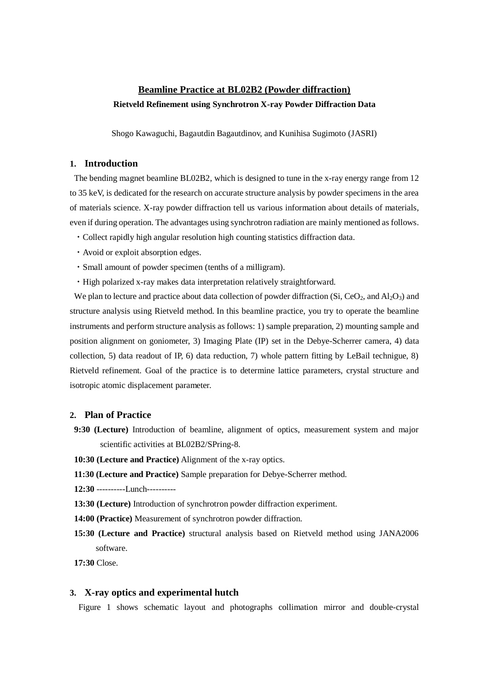## **Beamline Practice at BL02B2 (Powder diffraction) Rietveld Refinement using Synchrotron X-ray Powder Diffraction Data**

Shogo Kawaguchi, Bagautdin Bagautdinov, and Kunihisa Sugimoto (JASRI)

#### **1. Introduction**

The bending magnet beamline BL02B2, which is designed to tune in the x-ray energy range from 12 to 35 keV, is dedicated for the research on accurate structure analysis by powder specimens in the area of materials science. X-ray powder diffraction tell us various information about details of materials, even if during operation. The advantages using synchrotron radiation are mainly mentioned as follows.

- ・Collect rapidly high angular resolution high counting statistics diffraction data.
- ・Avoid or exploit absorption edges.
- ・Small amount of powder specimen (tenths of a milligram).
- ・High polarized x-ray makes data interpretation relatively straightforward.

We plan to lecture and practice about data collection of powder diffraction (Si, CeO<sub>2</sub>, and Al<sub>2</sub>O<sub>3</sub>) and structure analysis using Rietveld method. In this beamline practice, you try to operate the beamline instruments and perform structure analysis as follows: 1) sample preparation, 2) mounting sample and position alignment on goniometer, 3) Imaging Plate (IP) set in the Debye-Scherrer camera, 4) data collection, 5) data readout of IP, 6) data reduction, 7) whole pattern fitting by LeBail technigue, 8) Rietveld refinement. Goal of the practice is to determine lattice parameters, crystal structure and isotropic atomic displacement parameter.

#### **2. Plan of Practice**

- **9:30 (Lecture)** Introduction of beamline, alignment of optics, measurement system and major scientific activities at BL02B2/SPring-8.
- **10:30 (Lecture and Practice)** Alignment of the x-ray optics.
- **11:30 (Lecture and Practice)** Sample preparation for Debye-Scherrer method.
- **12:30** ----------Lunch----------
- **13:30 (Lecture)** Introduction of synchrotron powder diffraction experiment.
- **14:00 (Practice)** Measurement of synchrotron powder diffraction.
- **15:30 (Lecture and Practice)** structural analysis based on Rietveld method using JANA2006 software.

**17:30** Close.

#### **3. X-ray optics and experimental hutch**

Figure 1 shows schematic layout and photographs collimation mirror and double-crystal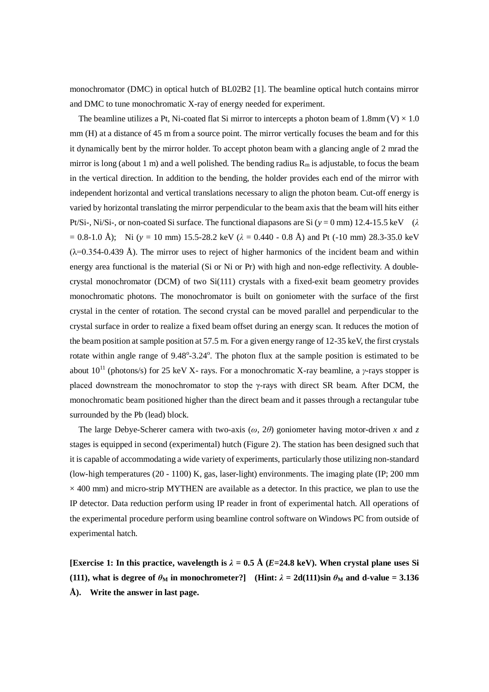monochromator (DMC) in optical hutch of BL02B2 [1]. The beamline optical hutch contains mirror and DMC to tune monochromatic X-ray of energy needed for experiment.

The beamline utilizes a Pt, Ni-coated flat Si mirror to intercepts a photon beam of 1.8mm (V)  $\times$  1.0 mm (H) at a distance of 45 m from a source point. The mirror vertically focuses the beam and for this it dynamically bent by the mirror holder. To accept photon beam with a glancing angle of 2 mrad the mirror is long (about 1 m) and a well polished. The bending radius  $R_m$  is adjustable, to focus the beam in the vertical direction. In addition to the bending, the holder provides each end of the mirror with independent horizontal and vertical translations necessary to align the photon beam. Cut-off energy is varied by horizontal translating the mirror perpendicular to the beam axis that the beam will hits either Pt/Si-, Ni/Si-, or non-coated Si surface. The functional diapasons are Si (*y* = 0 mm) 12.4-15.5 keV (*λ*  $= 0.8-1.0$  Å); Ni ( $y = 10$  mm) 15.5-28.2 keV ( $\lambda = 0.440 - 0.8$  Å) and Pt (-10 mm) 28.3-35.0 keV  $(\lambda=0.354-0.439 \text{ Å})$ . The mirror uses to reject of higher harmonics of the incident beam and within energy area functional is the material (Si or Ni or Pr) with high and non-edge reflectivity. A doublecrystal monochromator (DCM) of two Si(111) crystals with a fixed-exit beam geometry provides monochromatic photons. The monochromator is built on goniometer with the surface of the first crystal in the center of rotation. The second crystal can be moved parallel and perpendicular to the crystal surface in order to realize a fixed beam offset during an energy scan. It reduces the motion of the beam position at sample position at 57.5 m. For a given energy range of 12-35 keV, the first crystals rotate within angle range of 9.48°-3.24°. The photon flux at the sample position is estimated to be about  $10^{11}$  (photons/s) for 25 keV X- rays. For a monochromatic X-ray beamline, a *γ*-rays stopper is placed downstream the monochromator to stop the γ-rays with direct SR beam. After DCM, the monochromatic beam positioned higher than the direct beam and it passes through a rectangular tube surrounded by the Pb (lead) block.

The large Debye-Scherer camera with two-axis (*ω*, 2*θ*) goniometer having motor-driven *x* and *z* stages is equipped in second (experimental) hutch (Figure 2). The station has been designed such that it is capable of accommodating a wide variety of experiments, particularly those utilizing non-standard (low-high temperatures (20 - 1100) K, gas, laser-light) environments. The imaging plate (IP; 200 mm  $\times$  400 mm) and micro-strip MYTHEN are available as a detector. In this practice, we plan to use the IP detector. Data reduction perform using IP reader in front of experimental hatch. All operations of the experimental procedure perform using beamline control software on Windows PC from outside of experimental hatch.

**[Exercise 1: In this practice, wavelength is**  $\lambda = 0.5 \text{ Å}$  **(***E***=24.8 keV). When crystal plane uses Si (111), what is degree of**  $\theta_M$  **in monochrometer?] <b>(Hint:**  $\lambda = 2d(111)\sin \theta_M$  and d-value = 3.136 **Å). Write the answer in last page.**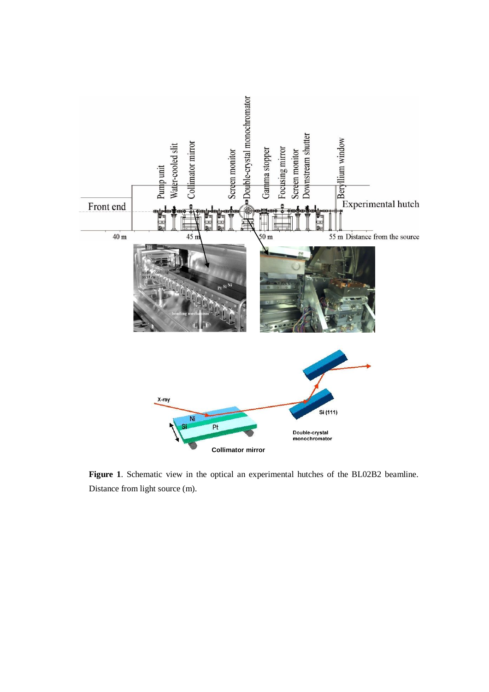

**Figure 1**. Schematic view in the optical an experimental hutches of the BL02B2 beamline. Distance from light source (m).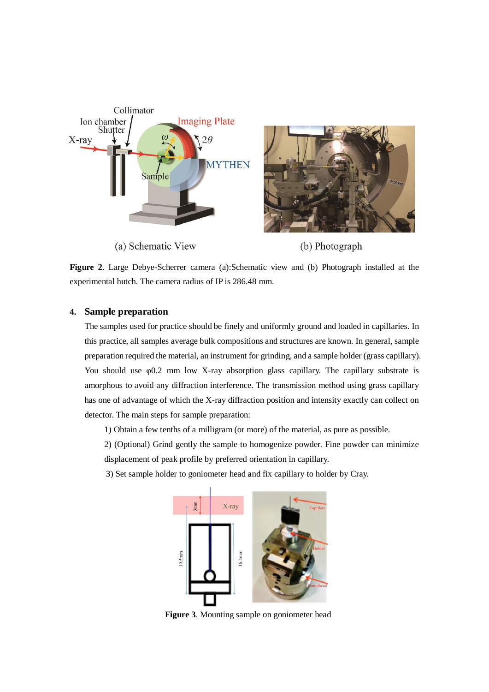

**Figure 2**. Large Debye-Scherrer camera (a):Schematic view and (b) Photograph installed at the experimental hutch. The camera radius of IP is 286.48 mm.

## **4. Sample preparation**

The samples used for practice should be finely and uniformly ground and loaded in capillaries. In this practice, all samples average bulk compositions and structures are known. In general, sample preparation required the material, an instrument for grinding, and a sample holder (grass capillary). You should use φ0.2 mm low X-ray absorption glass capillary. The capillary substrate is amorphous to avoid any diffraction interference. The transmission method using grass capillary has one of advantage of which the X-ray diffraction position and intensity exactly can collect on detector. The main steps for sample preparation:

- 1) Obtain a few tenths of a milligram (or more) of the material, as pure as possible.
- 2) (Optional) Grind gently the sample to homogenize powder. Fine powder can minimize displacement of peak profile by preferred orientation in capillary.
- 3) Set sample holder to goniometer head and fix capillary to holder by Cray.



**Figure 3**. Mounting sample on goniometer head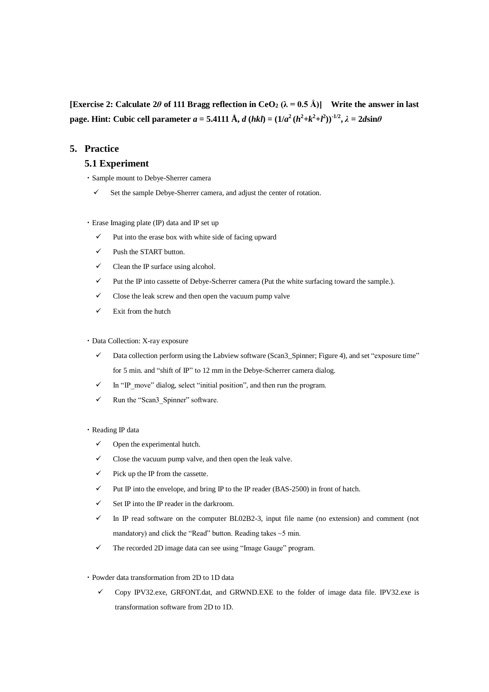**[Exercise 2: Calculate 2***θ* **of 111 Bragg reflection in CeO<sub>2</sub> (** $\lambda = 0.5$  **Å)] Write the answer in last** page. Hint: Cubic cell parameter  $a = 5.4111 \text{ Å}$ ,  $d(hkl) = (1/a^2 (h^2 + k^2 + l^2))^{-1/2}$ ,  $\lambda = 2d \sin \theta$ 

## **5. Practice**

### **5.1 Experiment**

- ・Sample mount to Debye-Sherrer camera
	- $\checkmark$  Set the sample Debye-Sherrer camera, and adjust the center of rotation.
- ・Erase Imaging plate (IP) data and IP set up
	- $\checkmark$  Put into the erase box with white side of facing upward
	- $\checkmark$  Push the START button.
	- $\checkmark$  Clean the IP surface using alcohol.
	- $\checkmark$  Put the IP into cassette of Debye-Scherrer camera (Put the white surfacing toward the sample.).
	- $\checkmark$  Close the leak screw and then open the vacuum pump valve
	- $\checkmark$  Exit from the hutch

#### ・Data Collection: X-ray exposure

- $\checkmark$  Data collection perform using the Labview software (Scan3\_Spinner; Figure 4), and set "exposure time" for 5 min. and "shift of IP" to 12 mm in the Debye-Scherrer camera dialog.
- $\checkmark$  In "IP\_move" dialog, select "initial position", and then run the program.
- $\checkmark$  Run the "Scan3 Spinner" software.

#### ・Reading IP data

- $\checkmark$  Open the experimental hutch.
- $\checkmark$  Close the vacuum pump valve, and then open the leak valve.
- $\checkmark$  Pick up the IP from the cassette.
- $\checkmark$  Put IP into the envelope, and bring IP to the IP reader (BAS-2500) in front of hatch.
- $\checkmark$  Set IP into the IP reader in the darkroom.
- $\checkmark$  In IP read software on the computer BL02B2-3, input file name (no extension) and comment (not mandatory) and click the "Read" button. Reading takes  $\sim$  5 min.
- $\checkmark$  The recorded 2D image data can see using "Image Gauge" program.
- ・Powder data transformation from 2D to 1D data
	- $\checkmark$  Copy IPV32.exe, GRFONT.dat, and GRWND.EXE to the folder of image data file. IPV32.exe is transformation software from 2D to 1D.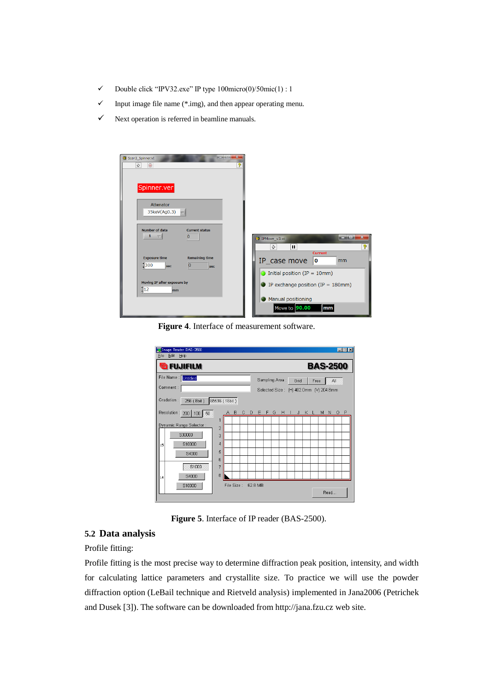- $\checkmark$  Double click "IPV32.exe" IP type 100micro(0)/50mic(1) : 1
- $\checkmark$  Input image file name (\*.img), and then appear operating menu.
- $\checkmark$  Next operation is referred in beamline manuals.

| $\overline{\mathbf{x}}$<br><b>CONSTRUCTION</b><br>Scan3_Spinner.VI<br>ಿ<br>$\Rightarrow$<br>$\circ$ |                                                                              |
|-----------------------------------------------------------------------------------------------------|------------------------------------------------------------------------------|
| Spinner.ver                                                                                         |                                                                              |
| Attenator<br>35keV(Ag0.3)                                                                           |                                                                              |
| <b>Number of data</b><br><b>Current status</b><br>$1 - \nabla$<br>$\overline{0}$                    | أتعاصا<br>$\mathbf{x}$<br>19 IPMove_v3.vi<br>စ္စု<br>$\mathbf{H}$<br>☆       |
| <b>Exposure time</b><br><b>Remaining time</b><br> 300<br>10<br>sec<br>sec                           | <b>Current</b><br>IP_case move<br>0<br>mm<br>Initial position (IP = $10mm$ ) |
| Moving IP after exposure by<br>$\frac{1}{2}$<br>mm                                                  | IP exchange position (IP = $180$ mm)<br>$\epsilon$<br>Manual positioning     |
|                                                                                                     | Move to 90.00<br>mm                                                          |

**Figure 4**. Interface of measurement software.

|                                        |                                            |  |     |  |                                        |  |  |      |  |                       |             |  | <b>BAS-2500</b> |  |         |   |
|----------------------------------------|--------------------------------------------|--|-----|--|----------------------------------------|--|--|------|--|-----------------------|-------------|--|-----------------|--|---------|---|
| File Name : Untitled                   |                                            |  |     |  | Sampling Area:<br>Grid<br>All<br>Free  |  |  |      |  |                       |             |  |                 |  |         |   |
| Comment:                               |                                            |  |     |  | Selected Size: (H) 402.0mm (V) 204.8mm |  |  |      |  |                       |             |  |                 |  |         |   |
| Gradation: 256 (8bit)<br>65536 (16bit) |                                            |  |     |  |                                        |  |  |      |  |                       |             |  |                 |  |         |   |
|                                        |                                            |  |     |  |                                        |  |  |      |  | J.                    |             |  |                 |  | $\circ$ | P |
| 1                                      |                                            |  |     |  |                                        |  |  |      |  |                       |             |  |                 |  |         |   |
|                                        |                                            |  |     |  |                                        |  |  |      |  |                       |             |  |                 |  |         |   |
|                                        |                                            |  |     |  |                                        |  |  |      |  |                       |             |  |                 |  |         |   |
| 5                                      |                                            |  |     |  |                                        |  |  |      |  |                       |             |  |                 |  |         |   |
| 6                                      |                                            |  |     |  |                                        |  |  |      |  |                       |             |  |                 |  |         |   |
| 7                                      |                                            |  |     |  |                                        |  |  |      |  |                       |             |  |                 |  |         |   |
|                                        |                                            |  |     |  |                                        |  |  |      |  |                       |             |  |                 |  |         |   |
|                                        | $\overline{2}$<br>3<br>$\overline{A}$<br>8 |  | A B |  | $\mathbb{C}$                           |  |  | DEFG |  | File Size:<br>62.8 MB | $H$ $\perp$ |  | K L             |  | M N     |   |

**Figure 5**. Interface of IP reader (BAS-2500).

## **5.2 Data analysis**

Profile fitting:

Profile fitting is the most precise way to determine diffraction peak position, intensity, and width for calculating lattice parameters and crystallite size. To practice we will use the powder diffraction option (LeBail technique and Rietveld analysis) implemented in Jana2006 (Petrichek and Dusek [3]). The software can be downloaded from http://jana.fzu.cz web site.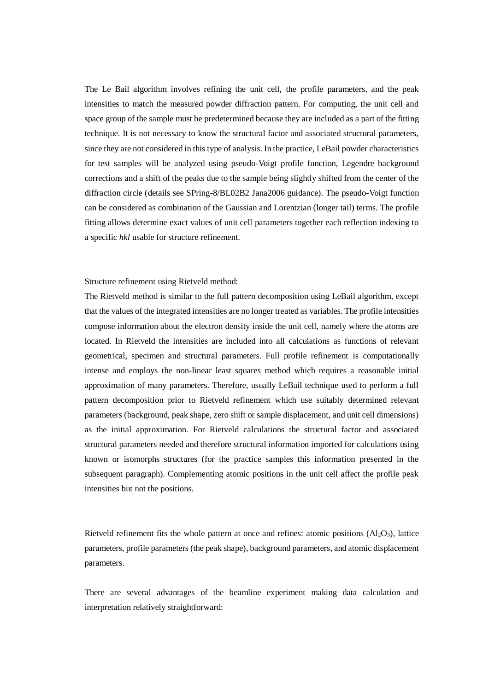The Le Bail algorithm involves refining the unit cell, the profile parameters, and the peak intensities to match the measured powder diffraction pattern. For computing, the unit cell and space group of the sample must be predetermined because they are included as a part of the fitting technique. It is not necessary to know the structural factor and associated structural parameters, since they are not considered in this type of analysis. In the practice, LeBail powder characteristics for test samples will be analyzed using pseudo-Voigt profile function, Legendre background corrections and a shift of the peaks due to the sample being slightly shifted from the center of the diffraction circle (details see SPring-8/BL02B2 Jana2006 guidance). The pseudo-Voigt function can be considered as combination of the Gaussian and Lorentzian (longer tail) terms. The profile fitting allows determine exact values of unit cell parameters together each reflection indexing to a specific *hkl* usable for structure refinement.

#### Structure refinement using Rietveld method:

The Rietveld method is similar to the full pattern decomposition using LeBail algorithm, except that the values of the integrated intensities are no longer treated as variables. The profile intensities compose information about the electron density inside the unit cell, namely where the atoms are located. In Rietveld the intensities are included into all calculations as functions of relevant geometrical, specimen and structural parameters. Full profile refinement is computationally intense and employs the non-linear least squares method which requires a reasonable initial approximation of many parameters. Therefore, usually LeBail technique used to perform a full pattern decomposition prior to Rietveld refinement which use suitably determined relevant parameters (background, peak shape, zero shift or sample displacement, and unit cell dimensions) as the initial approximation. For Rietveld calculations the structural factor and associated structural parameters needed and therefore structural information imported for calculations using known or isomorphs structures (for the practice samples this information presented in the subsequent paragraph). Complementing atomic positions in the unit cell affect the profile peak intensities but not the positions.

Rietveld refinement fits the whole pattern at once and refines: atomic positions  $(A_1Q_3)$ , lattice parameters, profile parameters (the peak shape), background parameters, and atomic displacement parameters.

There are several advantages of the beamline experiment making data calculation and interpretation relatively straightforward: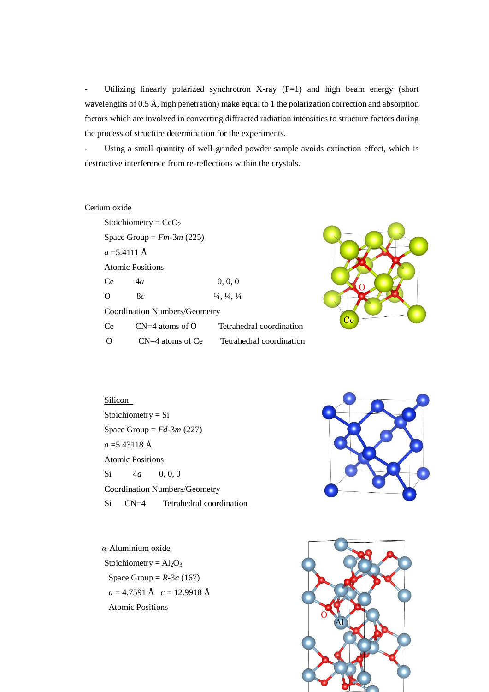- Utilizing linearly polarized synchrotron X-ray (P=1) and high beam energy (short wavelengths of 0.5 Å, high penetration) make equal to 1 the polarization correction and absorption factors which are involved in converting diffracted radiation intensities to structure factors during the process of structure determination for the experiments.

Using a small quantity of well-grinded powder sample avoids extinction effect, which is destructive interference from re-reflections within the crystals.

## Cerium oxide

|                               | Stoichiometry = $CeO2$ |                                               |  |  |  |  |  |  |
|-------------------------------|------------------------|-----------------------------------------------|--|--|--|--|--|--|
| Space Group = $Fm-3m$ (225)   |                        |                                               |  |  |  |  |  |  |
| $a = 5.4111 \text{ Å}$        |                        |                                               |  |  |  |  |  |  |
| Atomic Positions              |                        |                                               |  |  |  |  |  |  |
| Ce.                           | 4a                     | 0, 0, 0                                       |  |  |  |  |  |  |
| O                             | 8c                     | $\frac{1}{4}$ , $\frac{1}{4}$ , $\frac{1}{4}$ |  |  |  |  |  |  |
| Coordination Numbers/Geometry |                        |                                               |  |  |  |  |  |  |
| Ce                            | $CN=4$ atoms of O      | Tetrahedral coordination                      |  |  |  |  |  |  |
| Ω                             | $CN=4$ atoms of Ce     | Tetrahedral coordination                      |  |  |  |  |  |  |
|                               |                        |                                               |  |  |  |  |  |  |



# Silicon Stoichiometry = Si Space Group =  $Fd-3m(227)$  $a = 5.43118 \text{ Å}$ Atomic Positions Si 4*a* 0, 0, 0 Coordination Numbers/Geometry Si CN=4 Tetrahedral coordination

*α-*Aluminium oxide Stoichiometry =  $Al_2O_3$ Space Group =  $R-3c$  (167) *a* = 4.7591 Å *c* = 12.9918 Å Atomic Positions